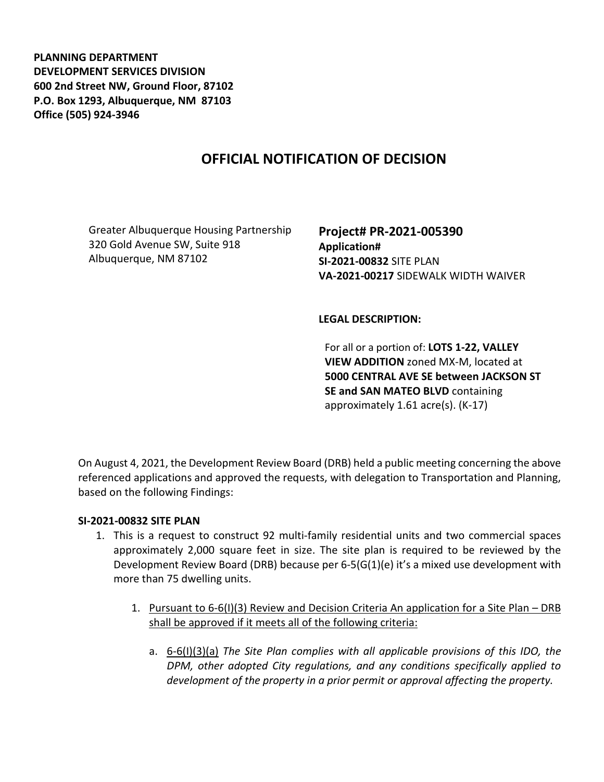**PLANNING DEPARTMENT DEVELOPMENT SERVICES DIVISION 600 2nd Street NW, Ground Floor, 87102 P.O. Box 1293, Albuquerque, NM 87103 Office (505) 924-3946** 

# **OFFICIAL NOTIFICATION OF DECISION**

Greater Albuquerque Housing Partnership 320 Gold Avenue SW, Suite 918 Albuquerque, NM 87102

**Project# PR-2021-005390 Application# SI-2021-00832** SITE PLAN **VA-2021-00217** SIDEWALK WIDTH WAIVER

#### **LEGAL DESCRIPTION:**

For all or a portion of: **LOTS 1-22, VALLEY VIEW ADDITION** zoned MX-M, located at **5000 CENTRAL AVE SE between JACKSON ST SE and SAN MATEO BLVD** containing approximately 1.61 acre(s). (K-17)

On August 4, 2021, the Development Review Board (DRB) held a public meeting concerning the above referenced applications and approved the requests, with delegation to Transportation and Planning, based on the following Findings:

#### **SI-2021-00832 SITE PLAN**

- 1. This is a request to construct 92 multi-family residential units and two commercial spaces approximately 2,000 square feet in size. The site plan is required to be reviewed by the Development Review Board (DRB) because per 6-5(G(1)(e) it's a mixed use development with more than 75 dwelling units.
	- 1. Pursuant to 6-6(I)(3) Review and Decision Criteria An application for a Site Plan DRB shall be approved if it meets all of the following criteria:
		- a. 6-6(I)(3)(a) *The Site Plan complies with all applicable provisions of this IDO, the DPM, other adopted City regulations, and any conditions specifically applied to development of the property in a prior permit or approval affecting the property.*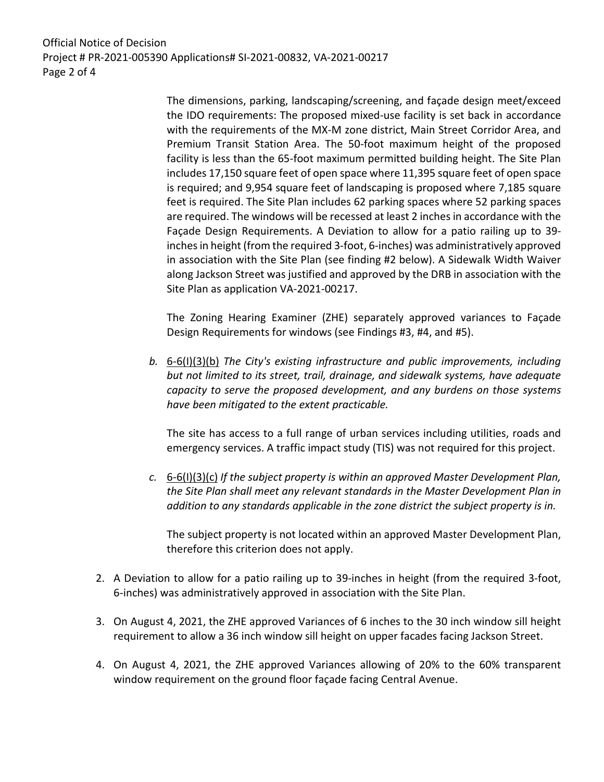Official Notice of Decision Project # PR-2021-005390 Applications# SI-2021-00832, VA-2021-00217 Page 2 of 4

> The dimensions, parking, landscaping/screening, and façade design meet/exceed the IDO requirements: The proposed mixed-use facility is set back in accordance with the requirements of the MX-M zone district, Main Street Corridor Area, and Premium Transit Station Area. The 50-foot maximum height of the proposed facility is less than the 65-foot maximum permitted building height. The Site Plan includes 17,150 square feet of open space where 11,395 square feet of open space is required; and 9,954 square feet of landscaping is proposed where 7,185 square feet is required. The Site Plan includes 62 parking spaces where 52 parking spaces are required. The windows will be recessed at least 2 inches in accordance with the Façade Design Requirements. A Deviation to allow for a patio railing up to 39 inches in height (from the required 3-foot, 6-inches) was administratively approved in association with the Site Plan (see finding #2 below). A Sidewalk Width Waiver along Jackson Street was justified and approved by the DRB in association with the Site Plan as application VA-2021-00217.

> The Zoning Hearing Examiner (ZHE) separately approved variances to Façade Design Requirements for windows (see Findings #3, #4, and #5).

*b.* 6-6(I)(3)(b) *The City's existing infrastructure and public improvements, including but not limited to its street, trail, drainage, and sidewalk systems, have adequate capacity to serve the proposed development, and any burdens on those systems have been mitigated to the extent practicable.* 

The site has access to a full range of urban services including utilities, roads and emergency services. A traffic impact study (TIS) was not required for this project.

*c.* 6-6(I)(3)(c) *If the subject property is within an approved Master Development Plan, the Site Plan shall meet any relevant standards in the Master Development Plan in addition to any standards applicable in the zone district the subject property is in.*

The subject property is not located within an approved Master Development Plan, therefore this criterion does not apply.

- 2. A Deviation to allow for a patio railing up to 39-inches in height (from the required 3-foot, 6-inches) was administratively approved in association with the Site Plan.
- 3. On August 4, 2021, the ZHE approved Variances of 6 inches to the 30 inch window sill height requirement to allow a 36 inch window sill height on upper facades facing Jackson Street.
- 4. On August 4, 2021, the ZHE approved Variances allowing of 20% to the 60% transparent window requirement on the ground floor façade facing Central Avenue.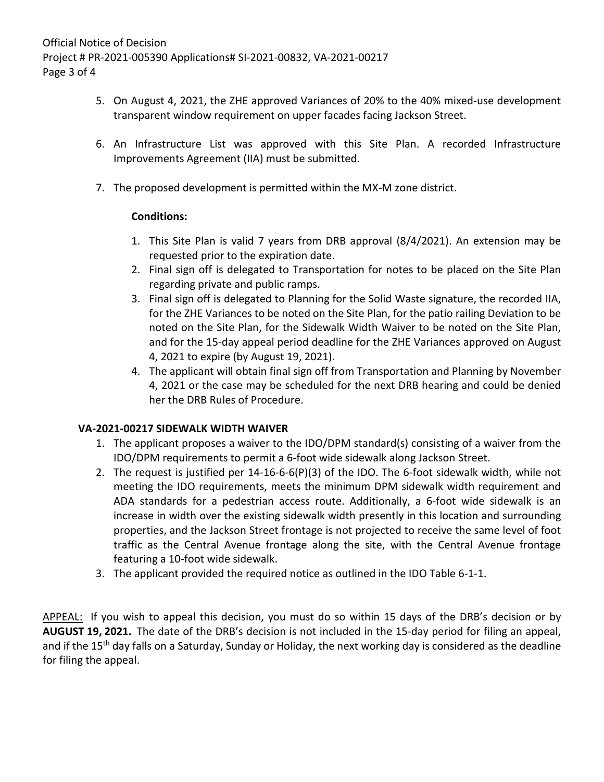- 5. On August 4, 2021, the ZHE approved Variances of 20% to the 40% mixed-use development transparent window requirement on upper facades facing Jackson Street.
- 6. An Infrastructure List was approved with this Site Plan. A recorded Infrastructure Improvements Agreement (IIA) must be submitted.
- 7. The proposed development is permitted within the MX-M zone district.

### **Conditions:**

- 1. This Site Plan is valid 7 years from DRB approval (8/4/2021). An extension may be requested prior to the expiration date.
- 2. Final sign off is delegated to Transportation for notes to be placed on the Site Plan regarding private and public ramps.
- 3. Final sign off is delegated to Planning for the Solid Waste signature, the recorded IIA, for the ZHE Variances to be noted on the Site Plan, for the patio railing Deviation to be noted on the Site Plan, for the Sidewalk Width Waiver to be noted on the Site Plan, and for the 15-day appeal period deadline for the ZHE Variances approved on August 4, 2021 to expire (by August 19, 2021).
- 4. The applicant will obtain final sign off from Transportation and Planning by November 4, 2021 or the case may be scheduled for the next DRB hearing and could be denied her the DRB Rules of Procedure.

## **VA-2021-00217 SIDEWALK WIDTH WAIVER**

- 1. The applicant proposes a waiver to the IDO/DPM standard(s) consisting of a waiver from the IDO/DPM requirements to permit a 6-foot wide sidewalk along Jackson Street.
- 2. The request is justified per 14-16-6-6(P)(3) of the IDO. The 6-foot sidewalk width, while not meeting the IDO requirements, meets the minimum DPM sidewalk width requirement and ADA standards for a pedestrian access route. Additionally, a 6-foot wide sidewalk is an increase in width over the existing sidewalk width presently in this location and surrounding properties, and the Jackson Street frontage is not projected to receive the same level of foot traffic as the Central Avenue frontage along the site, with the Central Avenue frontage featuring a 10-foot wide sidewalk.
- 3. The applicant provided the required notice as outlined in the IDO Table 6-1-1.

APPEAL: If you wish to appeal this decision, you must do so within 15 days of the DRB's decision or by **AUGUST 19, 2021.** The date of the DRB's decision is not included in the 15-day period for filing an appeal, and if the 15<sup>th</sup> day falls on a Saturday, Sunday or Holiday, the next working day is considered as the deadline for filing the appeal.